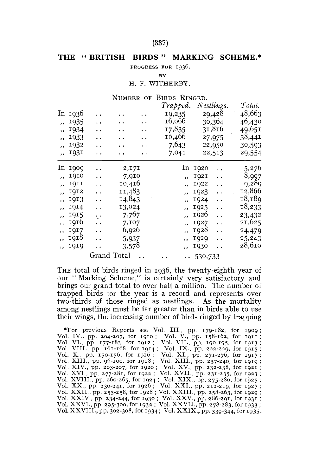### (337)

## **THE " BRITISH BIRDS " MARKING SCHEME.**

PROGRESS FOR 1936.

**BY** 

#### H. F. WITHERBY.

#### NUMBER OF BIRDS RINGED.

|                          |         |                      |                      |                      | Trapped.                 |                  | Nestlings.           | Total. |
|--------------------------|---------|----------------------|----------------------|----------------------|--------------------------|------------------|----------------------|--------|
|                          | In 1936 | . .                  | $\cdot$ .            | $\ddot{\phantom{0}}$ | 19,235                   | 29,428           |                      | 48,663 |
| $\overline{\mathbf{z}}$  | 1935    | $\ddot{\phantom{0}}$ | $\ddot{\phantom{0}}$ | . .                  | 16,066                   |                  | 30,364               | 46,430 |
| ,,                       | 1934    | . .                  | . .                  | $\ddot{\phantom{0}}$ | 17,835                   |                  | 31,816               | 49,651 |
| ,,                       | 1933    | . .                  | . .                  | $\ddot{\phantom{1}}$ | 10,466                   |                  | 27,975               | 38,441 |
| ,,                       | 1932    | . .                  | . .                  | . .                  | 7,643                    |                  | 22,950               | 30,593 |
| $\overline{\phantom{a}}$ | 1931    | . .                  | . .                  | $\ddot{\phantom{0}}$ | 7,04I                    |                  | 22,513               | 29,554 |
|                          | In 1909 | . .                  | 2,171                |                      |                          | ln 1920          |                      | 5,276  |
| $\overline{\phantom{a}}$ | 1910    | . .                  | 7,910                |                      | ,,                       | <b>1921</b>      | $\ddot{\phantom{0}}$ | 8,997  |
| ,,                       | 1911    | $\ddot{\phantom{0}}$ | 10,416               |                      | ,                        | 1922             | $\ddot{\phantom{0}}$ | 9,289  |
| $\overline{\mathbf{z}}$  | 1912    | . .                  | II,483               |                      | $\overline{\phantom{a}}$ | 1923             | $\ddot{\phantom{0}}$ | 12,866 |
| $\overline{\phantom{a}}$ | 1913    | . .                  | 14,843               |                      | ,                        | 1924             | . .                  | 18,189 |
| $\overline{\mathbf{z}}$  | 1914    | . .                  | 13,024               |                      | $, \,$                   | 1925             | $\ddot{\phantom{0}}$ | 18,233 |
| $\overline{\phantom{a}}$ | 1915    | . .                  | 7,767                |                      | $\overline{\phantom{a}}$ | 1926             | $\ddot{\phantom{0}}$ | 23,432 |
| ,,                       | 1916    | . .                  | 7,107                |                      | $\overline{\phantom{a}}$ | 1927             | $\ddot{\phantom{0}}$ | 21,625 |
| $\overline{\mathbf{z}}$  | 1917    | . .                  | 6,926                |                      | $\overline{\phantom{a}}$ | 1928             | $\ddot{\phantom{a}}$ | 24,479 |
| ,,                       | 1918    | $\ddot{\phantom{0}}$ | 5,937                |                      | $\cdot$ .                | 1929             | $\ddot{\phantom{0}}$ | 25,243 |
| $\mathbf{a}$             | 1919    | . .                  | 3,578                |                      | $\overline{\phantom{a}}$ | 1930             | $\ddot{\phantom{a}}$ | 28,610 |
|                          |         | Grand Total          |                      |                      |                          | $\cdots 530,733$ |                      |        |

THE total of birds ringed in 1936, the twenty-eighth year of our " Marking Scheme," is certainly very satisfactory and brings our grand total to over half a million. The number of trapped birds for the year is a record and represents over two-thirds of those ringed as nestlings. As the mortality among nestlings must be far greater than in birds able to use their wings, the increasing number of birds ringed by trapping

\*For previous Reports see Vol. III., pp. Vol. IV., pp. 204-207, for 1910 ; Vol. VI., pp. Vol. VII., pp. 177-183, for 1912 ; Vol. VII., pp. Vol. VIII., pp. 161-168, for 1914 ; Vol. IX., pv. Vol. XIII., pp. 96-100, for 1918 Vol. XVIII., pp. 260-265, for 1924 ; Vol. XIX.,<br>Vol. XX., pp. 236-241, for 1926 ; Vol. XXI., 1<br>Vol. XXII., pp. 253-258, for 1930 ; Vol. XXIII.,<br>Vol. XXIV., pp. 234-244, for 1930 ; Vol. XXV.,<br>Vol. XXVI., pp. 295-300, for 19 179-182, for 1909 ; 158-162, for 1911 **pp.**  pp. 190-193, for 1913,<br>pp. 222-229, for 1915;<br>pp. 271-276, for 1917;<br>pp. 237-240, for 1921;<br>pp. 232-238, for 1923;<br>pp. 231-235, for 1923; ., pp. 275-280, for 1925 ; pp. 212-219, for 1927 ; , pp. 258-263, for 1929 ; , pp. 286-291, for 1931 ; pp. 278-283, for 1933; Vol. XXVIII., pp. 302-308, for 1934; Vol. XXIX., pp. 339-344, for 1935.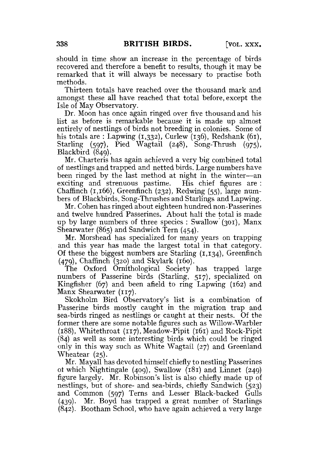should in time show an increase in the percentage of birds recovered and therefore a benefit to results, though it may be remarked that it will always be necessary to practise both methods.

Thirteen totals have reached over the thousand mark and amongst these all have reached that total before, except the Isle of May Observatory.

Dr. Moon has once again ringed over five thousand and his list as before is remarkable because it is made up almost entirely of nestlings of birds not breeding in colonies. Some of his totals are : Lapwing  $(1,332)$ , Curlew (136), Redshank (61), Starling {597), Pied Wagtail (248), Song-Thrush (975), Blackbird (849).

Mr. Charteris has again achieved a very big combined total of nestlings and trapped and netted birds. Large numbers have been ringed by the last method at night in the winter—an exciting and strenuous pastime. His chief figures are : Chaffinch (1,166), Greenfinch (232), Redwing (55), large numbers of Blackbirds, Song-Thrushes and Starlings and Lapwing.

Mr. Cohen has ringed about eighteen hundred non-Passerines and twelve hundred Passerines. About half the total is made up by large numbers of three species : Swallow (301), Manx Shearwater (865) and Sandwich Tern (454).

Mr. Morshead has specialized for many years on trapping and this year has made the largest total in that category. Of these the biggest numbers are Starling  $(1,134)$ , Greenfinch (479), Chaffinch (320) and Skylark (160).

The Oxford Ornithological Society has trapped large numbers of Passerine birds (Starling, 517), specialized on Kingfisher (67) and been afield to ring Lapwing (162) and Manx Shearwater (117).

Skokholm Bird Observatory's list is a combination of Passerine birds mostly caught in the migration trap and sea-birds ringed as nestlings or caught at their nests. Of the former there are some notable figures such as Willow-Warbler (188), Whitethroat (117), Meadow-Pipit (161) and Rock-Pipit (84) as well as some interesting birds which could be ringed only in this way such as White Wagtail (27) and Greenland Wheatear (25).

Mr. Mayall has devoted himself chiefly to nestling Passerines of which Nightingale (409), Swallow (181) and Linnet (249) figure largely. Mr. Robinson's list is also chiefly made up of nestlings, but of shore- and sea-birds, chiefly Sandwich (523) and Common (597) Terns and Lesser Black-backed Gulls (439). Mr. Boyd has trapped a great number of Starlings (842). Bootham School, who have again achieved a very large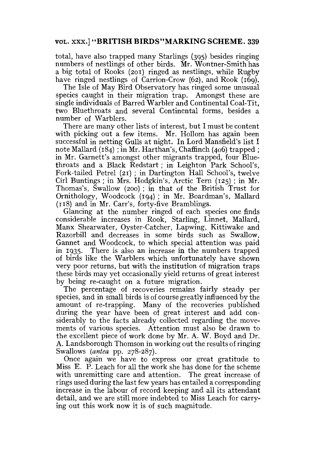## **VOL.** xxx.] **"BRITISH BIRDS"MARKING SCHEME. 339**

total, have also trapped many Starlings (395) besides ringing numbers of nestlings of other birds, Mr. Wontner-Smith has a big total of Rooks (201) ringed as nestlings, while Rugby have ringed nestlings of Carrion-Crow (62), and Rook (169).

The Isle of May Bird Observatory has ringed some unusual species caught in their migration trap. Amongst these are single individuals of Barred Warbler and Continental Coal-Tit, two Bluethroats and several Continental forms, besides a number of Warblers.

There are many other lists of interest, but I must be content with picking out a few items. Mr. Hollom has again been successful in netting Gulls at night. In Lord Mansfield's list I note Mallard (184) ; in Mr. Harthan's, Chaffinch (406) trapped ; in Mr. Garnett's amongst other migrants trapped, four Bluethroats and a Black Redstart; in Leighton Park School's, Fork-tailed Petrel (21) ; in Dartington Hall School's, twelve Cirl Buntings; in Mrs. Hodgkin's, Arctic Tem (125) ; in Mr. Thomas's, Swallow (200) ; in that of the British Trust for Ornithology, Woodcock (194) ; in Mr. Boardman's, Mallard (118) and in Mr. Carr's, forty-five Bramblings.

Glancing at the number ringed of each species one finds considerable increases in Rook, Starling, Linnet, Mallard, Manx Shearwater, Oyster-Catcher, Lapwing, Kittiwake and Razorbill and decreases in some birds such as Swallow, Gannet and Woodcock, to which special attention was paid in 1935. There is also an increase in the numbers trapped of birds like the Warblers which unfortunately have shown very poor returns, but with the institution of migration traps these birds may yet occasionally yield returns of great interest by being re-caught on a future migration.

The percentage of recoveries remains fairly steady per species, and in small birds is of course greatly influenced by the amount of re-trapping. Many of the recoveries published during the year have been of great interest and add considerably to the facts already collected regarding the movements of various species. Attention must also be drawn to the excellent piece of work done by Mr. A. W. Boyd and Dr. A. Landsborough Thomson in working out the results of ringing Swallows *(antea* pp. 278-287).

Once again we have to express our great gratitude to Miss E. P. Leach for all the work she has done for the scheme with unremitting care and attention. The great increase of rings used during the last few years has entailed a corresponding increase in the labour of record keeping and all its attendant detail, and we are still more indebted to Miss Leach for carrying out this work now it is of such magnitude.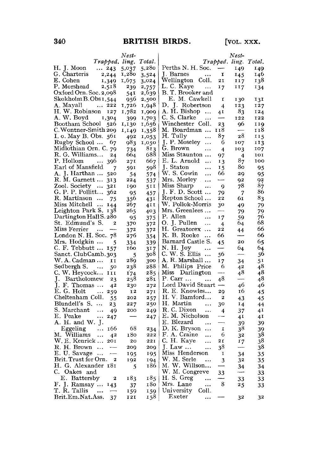|                                                      | Nest-                   |        |                                            | $Nest-$                         |                 |
|------------------------------------------------------|-------------------------|--------|--------------------------------------------|---------------------------------|-----------------|
| Trapped. ling.                                       |                         | Total. |                                            | Trapped. ling. Total.           |                 |
| H. J. Moon<br>$\cdots$ 243                           | 5,037                   | 5,280  | Perths N. H. Soc.                          | $\overline{\phantom{a}}$<br>149 | 149             |
| G. Charteris $2,244$                                 | 1,280                   | 3,524  | I. Barnes<br>$\ldots$                      | I<br>145                        | 146             |
| E. Cohen<br>1,349                                    | 1,675                   | 3,024  | Wellington Coll.                           | 21<br>117                       | 138             |
| P. Morshead<br>2,518                                 | 239                     | 2,757  | L. C. Kaye                                 | 17<br>117                       | 134             |
| Oxford Orn. Soc. 2,098                               | $\frac{54}{956}$<br>-26 | 2,639  | B.T. Brooker and                           |                                 |                 |
| Skokholm B. Obs 1,544                                |                         | 2,500  | E. M. Cawkell                              | $\mathbf{r}$<br>130             | 131             |
| A. Mayall<br>222                                     |                         | 1,948  | D. J. Robertson                            | 123<br>$\overline{4}$           | 127             |
| H. W. Robinson 127                                   | 1,782                   | 1,909  | A. H. Bishop                               | 83<br>41                        | 124             |
| A. W. Boyd<br>1,304                                  | 399                     | 1,703  | $C. S.$ Clarke $\ldots$                    | —<br>122                        | 122             |
| Bootham School 526                                   | 1,130                   | 1,656  | Winchester Coll.                           | 23<br>96                        | 119             |
| C. Wontner-Smith 209                                 | 1,149                   | 1,358  | M. Boardman<br>118                         | $\cdots$                        | 118             |
| I. o. May B. Obs. 561                                | 492                     | 1,053  | H. Tully<br>87<br>$\ddot{\phantom{1}}$     | 28                              | II5             |
| Rugby School  67                                     | 983                     | 1,050  | $J. P.$ Moseley $\ldots$                   | 6<br>107                        | 113             |
| Midlothian Orn. C. 79                                | 734                     | 813    | G. Brown<br>$\cdots$                       | $\overline{4}$<br>103           | 107             |
| R. G. Williams<br>24                                 | 664                     | 688    | Miss Staunton                              | 97<br>$\overline{4}$            | 101             |
| P. Hollom<br>396                                     | 27I                     | 667    | E. L. Arnold                               | 87<br>13                        | 100             |
| Earl of Mansfield<br>7                               | 591                     | 598    | J. Staton<br>$\ldots$                      | 80<br>15                        | 95              |
| A. J. Harthan  520                                   | -54                     | 574    | W. S. Cowin                                | 66<br>29                        | 95              |
| R. M. Garnett  313                                   | 224                     | 537    | Mrs. Morley                                | 92                              |                 |
| Zool Society  321                                    | 190                     | 511    | Miss Sharp<br>$\sim$ 100 $\pm$             | 78<br>9                         | $\frac{92}{87}$ |
| G. P. P. Pollitt 362                                 | 95                      | 457    | J. F. D. Scott                             | $\overline{7}$<br>79            | 86              |
| R. Martinson<br>- 75                                 | 356                     | 431    | Repton School<br>22                        | 61                              | 83              |
| Miss Mitchell  144                                   | 267                     | 41 I   | W. Pollok-Morris                           | 30<br>49                        | 79              |
| Leighton Park S. 138                                 | 265                     | 403    | Mrs. Greenlees<br>----                     | 79                              | 79              |
| Dartington Hall S. 280                               | 95                      | 375    | P. Allen<br>17<br>$\ddotsc$                | 59                              | 76              |
| St. Edmund's S.<br>$\boldsymbol{z}$                  | 370                     | 372    | O. J. Pullen<br>$\ldots$<br>$\overline{4}$ | 64                              | 68              |
| Miss Ferrier<br>$\cdots$<br>$-$                      | 372                     | 372    | H. Greatorex<br>22                         | 44                              | 66              |
| London N. H. Soc. 78                                 | 276                     | 354    | K. B. Rooke<br>66                          | ----                            | 66              |
| Mrs. Hodgkin<br>- 5                                  | 334                     | 339    | Barnard Castle S.<br>45                    | 20                              | 65              |
| C. F. Tebbutt  157                                   | 160                     | 317    | N. H. Joy<br>—<br>$\ddotsc$                | 64                              | 64              |
| Sanct. ClubCamb.303                                  | 5                       | 308    | C. W. $\tilde{S}$ . Ellis                  | 56<br>$\overline{\phantom{a}}$  | 56              |
| W. A. Cadman<br>11                                   | 289                     | 300    | A. R. Marshall<br>17                       | 34                              | 51              |
| Sedbergh S.<br>50                                    | 238                     | 288    | M. Philips Price                           | 6<br>42                         | 48              |
| C. W. Heycock III                                    | $\overline{174}$        | 285    | Miss Darlington                            | 48<br>----                      | 48              |
| J. Bartholomew<br>23                                 | 258                     | 281    | P. Carr                                    | 48<br>-                         | 48              |
| J. F. Thomas<br>42                                   | 230                     | 272    | Lord David Stuart -                        | 46                              | 46              |
| E. G. Holt<br>259                                    | 12                      | 27I    | R. E. Knowles                              | 16<br>29                        | 45              |
| Cheltenham Coll.<br>55                               | 202                     | 257    | H. V. Bamford                              | $\overline{\mathbf{z}}$<br>43   | 45              |
| Blundell's S.<br>23                                  | 227                     | 250    | H. Martin<br>$\sim 100$ and $\sim 100$     | 30<br>14                        | 44              |
| S. Marchant<br>49                                    | 200                     | 249    | $R. C. Divon$                              | 37<br>$\overline{4}$            | 4 <sup>T</sup>  |
| E. Peake<br>247                                      |                         | 247    | E. M. Nicholson                            | 41                              | 41              |
| A. H. and W. J.                                      |                         |        | E. Blezard<br>$\sim$                       | —<br>39                         | 39              |
| Eggeling $\ldots$ 166                                | -68                     | 234    | $D. K. Bryson \ldots$                      | 38<br>$\mathbf{I}$              | 39              |
| M. Williams<br>42                                    | 180                     | 222    | F. A. Craine                               | 6<br>32                         | 38              |
| W. E. Kenrick  201                                   | 20                      | 221    | C. H. Kave<br>2I<br>$\cdots$               | 17                              | 38              |
| R. H. Brown                                          | 209                     | 209    | $J. Law$                                   | 38<br>-----                     | 38              |
| E. U. Savage<br>$\overline{\phantom{a}}$             | 195                     | 195    | Miss Henderson                             | $\mathbf{I}$<br>34              | 35              |
| Brit. Trust for Orn.<br>$\boldsymbol{z}$             | 192                     | 194    | W. M. Serle<br>$\sim$ 100 $\pm$            | 3<br>32                         | 35              |
| H. G. Alexander 181                                  | 5                       | 186    | M. W. Willson                              | --<br>34                        | 34              |
| C. Oakes and                                         |                         |        | W. M. Congreve                             | 33                              | 33              |
| E. Battersby<br>$\overline{\phantom{a}}$             | 183                     | 185    | H. S. Greg<br>Mrs. Lane                    | 33                              | 33              |
| F. J. Ramsay  143                                    | -37                     | 180    |                                            | 8<br>25                         | 33              |
| T. R. Tallis<br>$\cdots$<br>$\overline{\phantom{m}}$ | 159                     | 159    | University Coll.                           |                                 |                 |
| Brit.Em.Nat.Ass.<br>37                               | 121                     | 158    | $\rm{Exeter}$<br>                          | 32                              | 32              |
|                                                      |                         |        |                                            |                                 |                 |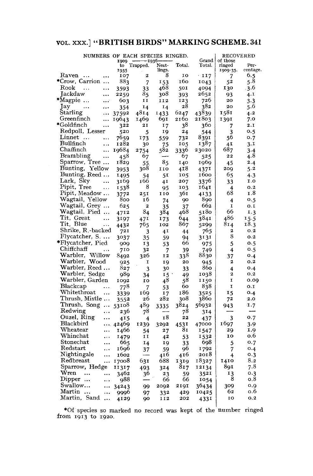## VOL. xxx ] "BRITISH BIRDS" MARKING SCHEME. 341

| NUMBERS OF EACH SPECIES RINGED.       |            |                    |                          |        | <b>RECOVERED</b>  |                    |                  |
|---------------------------------------|------------|--------------------|--------------------------|--------|-------------------|--------------------|------------------|
|                                       | 1909<br>to | -1930-<br>Trapped. | Nest-                    | Total. | Grand  <br>Total. | of those<br>ringed | Per-             |
|                                       | 1935       |                    | lings.                   |        |                   | 1909-35.           | centage.         |
| Raven<br>.<br>                        | 107        | $\boldsymbol{z}$   | 8                        | IO     | $\cdot$ 117       | 7                  | 6.5              |
| *Crow, Carrion                        | 883        | 7                  | 153                      | 160    | 1043              | 52                 | $5.\overline{8}$ |
| Rook<br>$\cdots$<br>$\cdots$          | 3593       | 33                 | 468                      | 501    | 4094              | 130                | $-3.6$           |
| Jackdaw<br>$\ddotsc$                  | 2259       | 85                 | 308                      | 393    | 2652              | 93                 | 4.1              |
| *Magpie<br>$\cdots$                   | 603        | 11                 | 112                      | 123    | 726               | 20                 | 3.3              |
| Jay<br>$\ddotsc$                      | 354        | 14                 | 14                       | 28     | 382               | 20                 | 5.6              |
| Starling<br>$\ddotsc$                 | 37592      | 4814               | 1433                     | 6247   | 43839             | 1581               | 4.2              |
| Greenfinch<br>$\ddotsc$               | 19643      | 1469               | 691                      | 2160   | 21803             | 1391               | 7.0              |
| *Goldfinch<br>$\cdots$                | 322        | 21                 | 17                       | 38     | 360               | 7                  | 2.1              |
| Redpoll, Lesser                       | 520        | 5                  | 19                       | 24     | 544               | 3                  | 0.5              |
| Linnet<br>$\ddotsc$                   | 7659       | 173                | 559                      | 732    | 8391              | 56                 | 0.7              |
| Bullfinch<br>$\ddotsc$                | 1282       | 30                 | 75                       | 105    | 1387              | 4I                 | 3.1              |
| Chaffinch<br>$\ddotsc$                | 19684      | 2754               | 582                      | 3336   | 23020             | 687                | 3.4              |
| Brambling<br>$\ddotsc$                | 458        | 67                 | $\overline{\phantom{a}}$ | 67     | 525               | 22                 | 4.8              |
| Sparrow, Tree                         | 1829       | 55.                | 85                       | 140    | 1969              | 45                 | 2.4              |
| Bunting, Yellow                       | 3953       | 308                | 110                      | 418    | 4371              | 209                | 5.2              |
| Bunting, Reed                         | 1495       | 54                 | 51                       | 105    | 1600              | 65                 | 4.3              |
| Lark, Sky<br>$\cdots$                 | 3169       | 166                | 41                       | 207    | 3376              | 33                 | 1.0              |
| Pipit, Tree<br>$\cdots$               | 1538       | 8                  | 95                       | 103    | 1641              | 4                  | O.2              |
| Pipit, Meadow                         | 3772       | 251                | 110                      | 361    | 4133              | 68                 | 1.8              |
| Wagtail, Yellow                       | 800        | 16                 | 74                       | 90     | 890.              | $\overline{4}$     | 0.5              |
| Wagtail, Grey                         | 625        | $\mathbf{z}$       | 35                       | 37     | 662               | I                  | o.I              |
| Wagtail, Pied                         | 4712       | 84                 | 384                      | 468    | 5180              | 66                 | I.3              |
| Tit, Great<br>$\ddotsc$               | 3197       | 47 <sup>1</sup>    | 173                      | 644    | 3841              | 486                | 15.5             |
| Tit, Blue<br>$\ldots$                 | 4432       | 765                | 102                      | 867    | 5299              | 814                | 18.3             |
| Shrike, R.-backed                     | 721        | 3                  | 41                       | 44     | 765               | 2                  | 0.2              |
| Flycatcher, S.                        | 3037       | 35                 | 59                       | 94     | 3131              | 8                  | O.2              |
| *Flycatcher, Pied                     | 909        | 13                 | 53                       | 66     | 975               | 5                  | 0.5              |
| Chiffchaff<br>$\ddotsc$               | 710        | 32                 | 7                        | 39     | 749.              | 4                  | 0.5              |
| Warbler, Willow                       | 8492       | 326                | 12                       | 338    | 8830              | 37                 | O.4              |
| Warbler, Wood                         | 925        | 1                  | 19                       | 20     | 945               | 2                  | 0.2              |
| Warbler, Reed                         | 827        | 3                  | 30                       | 33     | 860               | 4                  | 0.4              |
| Warbler, Sedge                        | 989        | 34                 | 15                       | 49     | 1038              | $\mathbf{z}$       | O, 2             |
| Warbler, Garden                       | 1092       | IO                 | 48                       | 58     | 1150              | I                  | 0.00             |
| Blackcap<br>                          | 778        | 7                  | 53                       | 60     | 838               | I                  | 0.1              |
| Whitethroat<br>                       | 3339       | 169                | 17                       | 186    | 3525              | 15                 | 0.4              |
| Thrush, Mistle                        | 3552       | 26                 | 282                      | 308    | 3860              | 72                 | 2.0              |
| Thrush, Song                          | 53108      | 489.               | 3335                     | 3824   | 56932             | 943                | 1.7              |
| Redwing<br>$\ddotsc$                  | 236        | 78                 |                          | 78     | 314               |                    |                  |
| Ouzel, Ring<br>$\ldots$               | 415        | 4                  | 18                       | 22     | 437               | 3                  | 0.7              |
| Blackbird                             | 42469      | 1239               | 3292                     | 4531   | 47000             | 1697               | 3.9              |
| $\operatorname{Wheatear}$<br>$\ldots$ | 1466       | 54                 | 27                       | 81     | 1547              | 20,                | 1.9              |
| Whinchat<br>$\ddotsc$                 | I479       | II                 | 42                       | 53     | 1532              | 10                 | 0.6              |
| Stonechat<br>                         | 665        | 14                 | 19                       | 33     | 698               | 5                  | 0.7              |
| Redstart<br>                          | 1696       | 37                 | 59                       | 96     | 1792              | 7                  | 0.4              |
| Nightingale<br>                       | 1602       |                    | 416                      | 416    | 2018              | 4                  | 0.3              |
| Redbreast<br>                         | 17008      | 631                | 688                      | 1319   | 18327             | 1410               | 8.2              |
| Sparrow, Hedge                        | 11317      | 493                | 324                      | 817    | 12134             | 891                | 7.8              |
| $_{\rm Wren}$<br><br>$\cdots$         | 3462       | 36                 | 23                       | 59     | 3521              | 13                 | 0.3              |
| Dipper $\ldots$<br>$\cdots$           | 988        |                    | 66                       | 66     | 1054              | 8                  | o.8              |
| Swallow<br>$\cdots$                   | 34243      | 99                 | 2092                     | 2191   | 36434             | 309                | o.g              |
| Martin<br>$\cdots$                    | 9996       | 97                 | 332                      | 429    | 10425             | 62                 | o.6              |
| Martin, Sand<br>$\ddotsc$             | 4129       | QO                 | II2                      | 202    | 4331              | 10                 | 0.2              |

•Of species so marked no record was kept of the from 1913 to 1920. number ringed